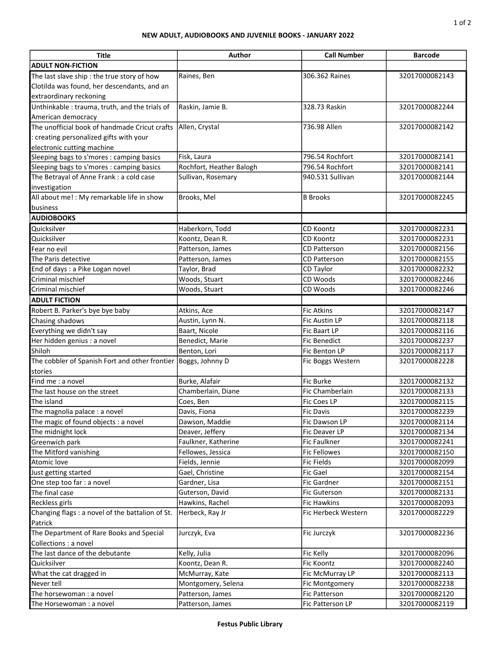## NEW ADULT, AUDIOBOOKS AND JUVENILE BOOKS - JANUARY 2022

| <b>Title</b>                                                   | Author                   | <b>Call Number</b>  | <b>Barcode</b> |
|----------------------------------------------------------------|--------------------------|---------------------|----------------|
| <b>ADULT NON-FICTION</b>                                       |                          |                     |                |
| The last slave ship : the true story of how                    | Raines, Ben              | 306.362 Raines      | 32017000082143 |
| Clotilda was found, her descendants, and an                    |                          |                     |                |
| extraordinary reckoning                                        |                          |                     |                |
| Unthinkable: trauma, truth, and the trials of                  | Raskin, Jamie B.         | 328.73 Raskin       | 32017000082244 |
| American democracy                                             |                          |                     |                |
| The unofficial book of handmade Cricut crafts                  | Allen, Crystal           | 736.98 Allen        | 32017000082142 |
| creating personalized gifts with your                          |                          |                     |                |
| electronic cutting machine                                     |                          |                     |                |
| Sleeping bags to s'mores : camping basics                      | Fisk, Laura              | 796.54 Rochfort     | 32017000082141 |
| Sleeping bags to s'mores : camping basics                      | Rochfort, Heather Balogh | 796.54 Rochfort     | 32017000082141 |
| The Betrayal of Anne Frank : a cold case                       | Sullivan, Rosemary       | 940.531 Sullivan    | 32017000082144 |
| investigation                                                  |                          |                     |                |
| All about me! : My remarkable life in show                     | Brooks, Mel              | <b>B</b> Brooks     | 32017000082245 |
| business                                                       |                          |                     |                |
| <b>AUDIOBOOKS</b>                                              |                          |                     |                |
| Quicksilver                                                    | Haberkorn, Todd          | CD Koontz           | 32017000082231 |
| Quicksilver                                                    | Koontz, Dean R.          | <b>CD Koontz</b>    | 32017000082231 |
| Fear no evil                                                   | Patterson, James         | <b>CD Patterson</b> | 32017000082156 |
| The Paris detective                                            | Patterson, James         | <b>CD Patterson</b> | 32017000082155 |
| End of days : a Pike Logan novel                               | Taylor, Brad             | CD Taylor           | 32017000082232 |
| Criminal mischief                                              | Woods, Stuart            | CD Woods            | 32017000082246 |
| Criminal mischief                                              | Woods, Stuart            | CD Woods            | 32017000082246 |
| <b>ADULT FICTION</b>                                           |                          |                     |                |
| Robert B. Parker's bye bye baby                                | Atkins, Ace              | <b>Fic Atkins</b>   | 32017000082147 |
| Chasing shadows                                                | Austin, Lynn N.          | Fic Austin LP       | 32017000082118 |
| Everything we didn't say                                       | Baart, Nicole            | Fic Baart LP        | 32017000082116 |
| Her hidden genius : a novel                                    | Benedict, Marie          | <b>Fic Benedict</b> | 32017000082237 |
| Shiloh                                                         | Benton, Lori             | Fic Benton LP       | 32017000082117 |
| The cobbler of Spanish Fort and other frontier Boggs, Johnny D |                          | Fic Boggs Western   | 32017000082228 |
| stories                                                        |                          |                     |                |
| Find me: a novel                                               | Burke, Alafair           | Fic Burke           | 32017000082132 |
| The last house on the street                                   | Chamberlain, Diane       | Fic Chamberlain     | 32017000082133 |
| The island                                                     | Coes, Ben                | Fic Coes LP         | 32017000082115 |
| The magnolia palace : a novel                                  | Davis, Fiona             | Fic Davis           | 32017000082239 |
| The magic of found objects : a novel                           | Dawson, Maddie           | Fic Dawson LP       | 32017000082114 |
| The midnight lock                                              | Deaver, Jeffery          | Fic Deaver LP       | 32017000082134 |
| Greenwich park                                                 | Faulkner, Katherine      | Fic Faulkner        | 32017000082241 |
| The Mitford vanishing                                          | Fellowes, Jessica        | <b>Fic Fellowes</b> | 32017000082150 |
| Atomic love                                                    | Fields, Jennie           | <b>Fic Fields</b>   | 32017000082099 |
| Just getting started                                           | Gael, Christine          | Fic Gael            | 32017000082154 |
| One step too far : a novel                                     | Gardner, Lisa            | <b>Fic Gardner</b>  | 32017000082151 |
| The final case                                                 | Guterson, David          | <b>Fic Guterson</b> | 32017000082131 |
| Reckless girls                                                 | Hawkins, Rachel          | Fic Hawkins         | 32017000082093 |
| Changing flags : a novel of the battalion of St.<br>Patrick    | Herbeck, Ray Jr          | Fic Herbeck Western | 32017000082229 |
| The Department of Rare Books and Special                       | Jurczyk, Eva             | Fic Jurczyk         | 32017000082236 |
| Collections : a novel                                          |                          |                     |                |
| The last dance of the debutante                                | Kelly, Julia             | Fic Kelly           | 32017000082096 |
| Quicksilver                                                    | Koontz, Dean R.          | Fic Koontz          | 32017000082240 |
| What the cat dragged in                                        | McMurray, Kate           | Fic McMurray LP     | 32017000082113 |
| Never tell                                                     | Montgomery, Selena       | Fic Montgomery      | 32017000082238 |
| The horsewoman : a novel                                       | Patterson, James         | Fic Patterson       | 32017000082120 |
| The Horsewoman : a novel                                       | Patterson, James         | Fic Patterson LP    | 32017000082119 |